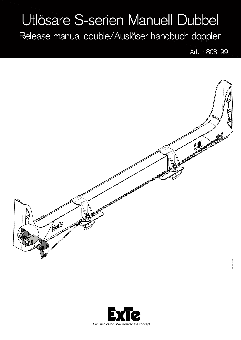## Utlösare S-serien Manuell Dubbel

Release manual double/Auslöser handbuch doppler

Art.nr 803199